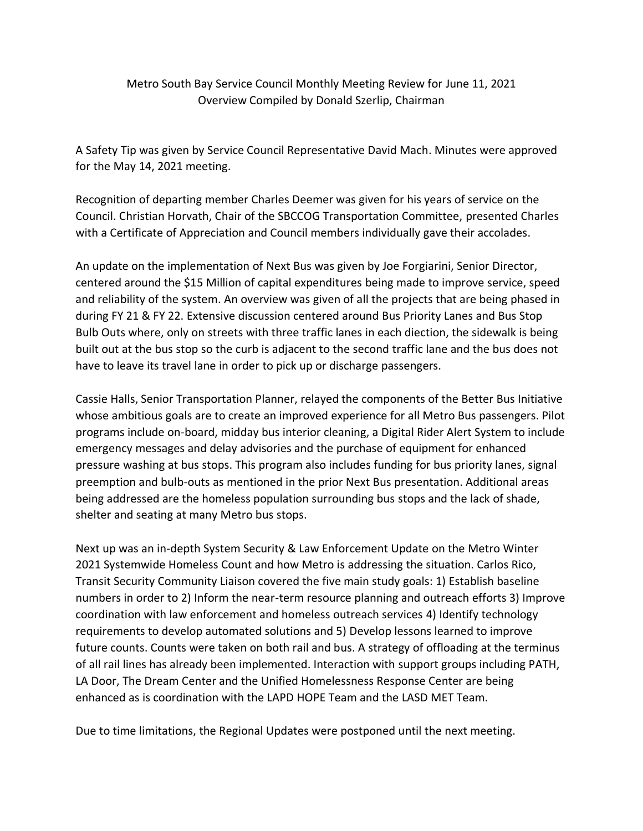Metro South Bay Service Council Monthly Meeting Review for June 11, 2021 Overview Compiled by Donald Szerlip, Chairman

A Safety Tip was given by Service Council Representative David Mach. Minutes were approved for the May 14, 2021 meeting.

Recognition of departing member Charles Deemer was given for his years of service on the Council. Christian Horvath, Chair of the SBCCOG Transportation Committee, presented Charles with a Certificate of Appreciation and Council members individually gave their accolades.

An update on the implementation of Next Bus was given by Joe Forgiarini, Senior Director, centered around the \$15 Million of capital expenditures being made to improve service, speed and reliability of the system. An overview was given of all the projects that are being phased in during FY 21 & FY 22. Extensive discussion centered around Bus Priority Lanes and Bus Stop Bulb Outs where, only on streets with three traffic lanes in each diection, the sidewalk is being built out at the bus stop so the curb is adjacent to the second traffic lane and the bus does not have to leave its travel lane in order to pick up or discharge passengers.

Cassie Halls, Senior Transportation Planner, relayed the components of the Better Bus Initiative whose ambitious goals are to create an improved experience for all Metro Bus passengers. Pilot programs include on-board, midday bus interior cleaning, a Digital Rider Alert System to include emergency messages and delay advisories and the purchase of equipment for enhanced pressure washing at bus stops. This program also includes funding for bus priority lanes, signal preemption and bulb-outs as mentioned in the prior Next Bus presentation. Additional areas being addressed are the homeless population surrounding bus stops and the lack of shade, shelter and seating at many Metro bus stops.

Next up was an in-depth System Security & Law Enforcement Update on the Metro Winter 2021 Systemwide Homeless Count and how Metro is addressing the situation. Carlos Rico, Transit Security Community Liaison covered the five main study goals: 1) Establish baseline numbers in order to 2) Inform the near-term resource planning and outreach efforts 3) Improve coordination with law enforcement and homeless outreach services 4) Identify technology requirements to develop automated solutions and 5) Develop lessons learned to improve future counts. Counts were taken on both rail and bus. A strategy of offloading at the terminus of all rail lines has already been implemented. Interaction with support groups including PATH, LA Door, The Dream Center and the Unified Homelessness Response Center are being enhanced as is coordination with the LAPD HOPE Team and the LASD MET Team.

Due to time limitations, the Regional Updates were postponed until the next meeting.